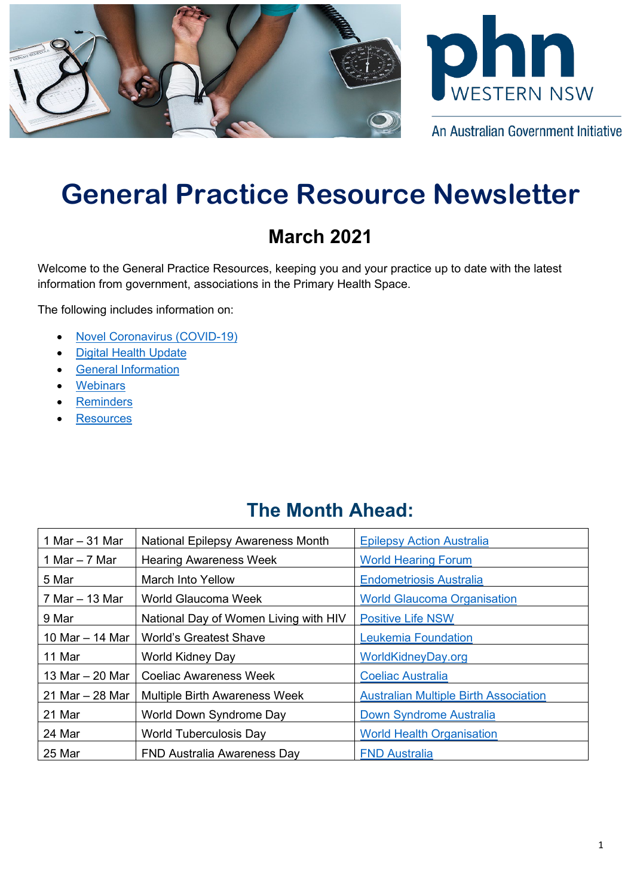



An Australian Government Initiative

# **General Practice Resource Newsletter**

## **March 2021**

Welcome to the General Practice Resources, keeping you and your practice up to date with the latest information from government, associations in the Primary Health Space.

The following includes information on:

- [Novel Coronavirus \(COVID-19\)](#page-0-0)
- [Digital Health Update](#page-2-0)
- [General Information](#page-3-0)
- **[Webinars](#page-6-0)**
- **[Reminders](#page-8-0)**
- **[Resources](#page-8-1)**

### **The Month Ahead:**

<span id="page-0-0"></span>

| 1 Mar $-$ 31 Mar  | National Epilepsy Awareness Month     | <b>Epilepsy Action Australia</b>             |
|-------------------|---------------------------------------|----------------------------------------------|
| 1 Mar $-7$ Mar    | <b>Hearing Awareness Week</b>         | <b>World Hearing Forum</b>                   |
| 5 Mar             | March Into Yellow                     | <b>Endometriosis Australia</b>               |
| 7 Mar – 13 Mar    | World Glaucoma Week                   | <b>World Glaucoma Organisation</b>           |
| 9 Mar             | National Day of Women Living with HIV | <b>Positive Life NSW</b>                     |
| 10 Mar - 14 Mar   | <b>World's Greatest Shave</b>         | <b>Leukemia Foundation</b>                   |
| 11 Mar            | <b>World Kidney Day</b>               | WorldKidneyDay.org                           |
| 13 Mar - 20 Mar   | <b>Coeliac Awareness Week</b>         | <b>Coeliac Australia</b>                     |
| 21 Mar $-$ 28 Mar | <b>Multiple Birth Awareness Week</b>  | <b>Australian Multiple Birth Association</b> |
| 21 Mar            | World Down Syndrome Day               | Down Syndrome Australia                      |
| 24 Mar            | <b>World Tuberculosis Day</b>         | <b>World Health Organisation</b>             |
| 25 Mar            | <b>FND Australia Awareness Day</b>    | <b>FND Australia</b>                         |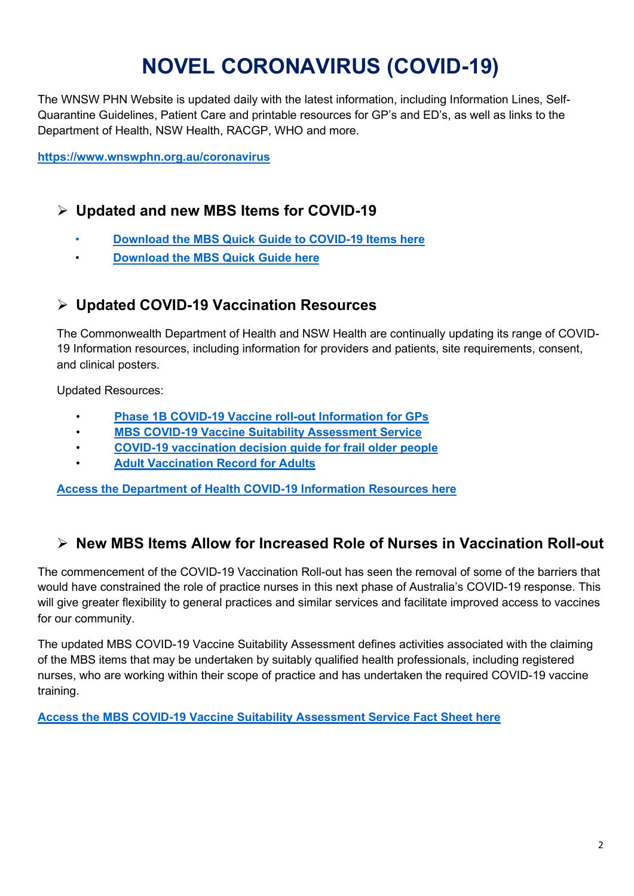# **NOVEL CORONAVIRUS (COVID-19)**

The WNSW PHN Website is updated daily with the latest information, including Information Lines, Self-Quarantine Guidelines, Patient Care and printable resources for GP's and ED's, as well as links to the Department of Health, NSW Health, RACGP, WHO and more.

**<https://www.wnswphn.org.au/coronavirus>**

#### **Updated and new MBS Items for COVID-19**

- **[Download the MBS Quick Guide to COVID-19 Items here](https://www.wnswphn.org.au/uploads/documents/newsletters/GP%20Resources%20March%202021/mbs-quick-guide-feb21.pdf)**
- **[Download the MBS Quick Guide here](https://www.wnswphn.org.au/uploads/documents/newsletters/GP%20Resources%20February%202021/mbs-quick-guide-feb21.pdf)**

#### **Updated COVID-19 Vaccination Resources**

The Commonwealth Department of Health and NSW Health are continually updating its range of COVID-19 Information resources, including information for providers and patients, site requirements, consent, and clinical posters.

Updated Resources:

- **[Phase 1B COVID-19 Vaccine roll-out Information for GPs](https://www.wnswphn.org.au/uploads/documents/newsletters/GP%20Resources%20March%202021/covid-19-vaccination-phase-1b-covid-19-vaccine-roll-out-general-practical-guidance%20(002).pdf)**
- **[MBS COVID-19 Vaccine Suitability Assessment Service](https://www.wnswphn.org.au/uploads/documents/newsletters/GP%20Resources%20March%202021/MBS%20Covid-19%20Vaccine%20Suitability%20Assessment%20Service%20(002).pdf)**
- **[COVID-19 vaccination decision guide for frail older people](https://www.wnswphn.org.au/uploads/documents/newsletters/GP%20Resources%20March%202021/covid-19-vaccination-covid-19-vaccination-decision-guide-for-frail-older-people-including-those-in-residential-aged-care-facilities%20(002).pdf)**
- **[Adult Vaccination Record for Adults](https://www.wnswphn.org.au/uploads/documents/newsletters/GP%20Resources%20March%202021/adult_vaccination_record%20(002).pdf)**

**[Access the Department of Health COVID-19 Information Resources here](https://aus01.safelinks.protection.outlook.com/?url=https%3A%2F%2Fwww.health.gov.au%2Fresources%2Fcollections%2Fcovid-19-vaccination-advice-for-covid-19-vaccine-providers&data=04%7C01%7Canthony.thompson%40wnswphn.org.au%7Ccac1ebabe9be47e0d7c008d8d211655d%7C3a417f0a466542e0a2cb686915490e8a%7C0%7C0%7C637490319441201211%7CUnknown%7CTWFpbGZsb3d8eyJWIjoiMC4wLjAwMDAiLCJQIjoiV2luMzIiLCJBTiI6Ik1haWwiLCJXVCI6Mn0%3D%7C1000&sdata=kOUxhyn5NyX8uYME3jF9VlGZFHlUgfsYs9c8XwxUgz8%3D&reserved=0)**

#### **New MBS Items Allow for Increased Role of Nurses in Vaccination Roll-out**

The commencement of the COVID-19 Vaccination Roll-out has seen the removal of some of the barriers that would have constrained the role of practice nurses in this next phase of Australia's COVID-19 response. This will give greater flexibility to general practices and similar services and facilitate improved access to vaccines for our community.

The updated MBS COVID-19 Vaccine Suitability Assessment defines activities associated with the claiming of the MBS items that may be undertaken by suitably qualified health professionals, including registered nurses, who are working within their scope of practice and has undertaken the required COVID-19 vaccine training.

**[Access the MBS COVID-19 Vaccine Suitability Assessment Service Fact Sheet here](https://www.wnswphn.org.au/uploads/documents/newsletters/GP%20Resources%20March%202021/MBS%20Covid-19%20Vaccine%20Suitability%20Assessment%20Service%20(002).pdf)**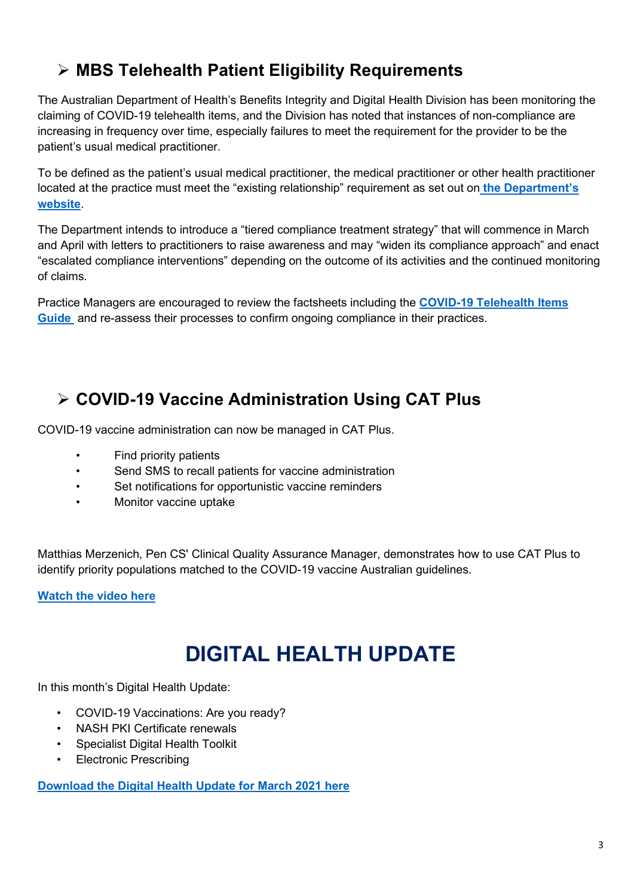### **MBS Telehealth Patient Eligibility Requirements**

The Australian Department of Health's Benefits Integrity and Digital Health Division has been monitoring the claiming of COVID-19 telehealth items, and the Division has noted that instances of non-compliance are increasing in frequency over time, especially failures to meet the requirement for the provider to be the patient's usual medical practitioner.

To be defined as the patient's usual medical practitioner, the medical practitioner or other health practitioner located at the practice must meet the "existing relationship" requirement as set out on **[the Department's](https://aus01.safelinks.protection.outlook.com/?url=https%3A%2F%2Faapm.memnet.com.au%2Fmemberselfservice%2FDistributionTracking%2FTrackLinks.aspx%3Fhref%3Dhttps%25253A%25252F%25252Fwww1.health.gov.au%25252Finternet%25252Fmain%25252Fpublishing.nsf%25252FContent%25252FEE22920E1EAF95B6CA2583AE007E1482%25252F%252524File%25252FExisting%252520relationship%252520exemption%252520summary.pdf%26record%3Dd05d0e74-bfd1-432b-9d02-11bd06b10baa&data=04%7C01%7Canthony.thompson%40wnswphn.org.au%7Ca26663b3d635448b9fc908d8dc512ec6%7C3a417f0a466542e0a2cb686915490e8a%7C0%7C0%7C637501588516678639%7CUnknown%7CTWFpbGZsb3d8eyJWIjoiMC4wLjAwMDAiLCJQIjoiV2luMzIiLCJBTiI6Ik1haWwiLCJXVCI6Mn0%3D%7C1000&sdata=uPEoCyV%2F4cJht0tqZkaawSD13AQeBhx6golrKdCSSiE%3D&reserved=0)  [website](https://aus01.safelinks.protection.outlook.com/?url=https%3A%2F%2Faapm.memnet.com.au%2Fmemberselfservice%2FDistributionTracking%2FTrackLinks.aspx%3Fhref%3Dhttps%25253A%25252F%25252Fwww1.health.gov.au%25252Finternet%25252Fmain%25252Fpublishing.nsf%25252FContent%25252FEE22920E1EAF95B6CA2583AE007E1482%25252F%252524File%25252FExisting%252520relationship%252520exemption%252520summary.pdf%26record%3Dd05d0e74-bfd1-432b-9d02-11bd06b10baa&data=04%7C01%7Canthony.thompson%40wnswphn.org.au%7Ca26663b3d635448b9fc908d8dc512ec6%7C3a417f0a466542e0a2cb686915490e8a%7C0%7C0%7C637501588516678639%7CUnknown%7CTWFpbGZsb3d8eyJWIjoiMC4wLjAwMDAiLCJQIjoiV2luMzIiLCJBTiI6Ik1haWwiLCJXVCI6Mn0%3D%7C1000&sdata=uPEoCyV%2F4cJht0tqZkaawSD13AQeBhx6golrKdCSSiE%3D&reserved=0)**.

The Department intends to introduce a "tiered compliance treatment strategy" that will commence in March and April with letters to practitioners to raise awareness and may "widen its compliance approach" and enact "escalated compliance interventions" depending on the outcome of its activities and the continued monitoring of claims.

Practice Managers are encouraged to review the factsheets including the **[COVID-19 Telehealth Items](https://aus01.safelinks.protection.outlook.com/?url=https%3A%2F%2Faapm.memnet.com.au%2Fmemberselfservice%2FDistributionTracking%2FTrackLinks.aspx%3Fhref%3Dhttps%25253A%25252F%25252Fwww.health.gov.au%25252Fresources%25252Fpublications%25252Fcoronavirus-covid-19-telehealth-items-guide%26record%3Dd05d0e74-bfd1-432b-9d02-11bd06b10baa&data=04%7C01%7Canthony.thompson%40wnswphn.org.au%7Ca26663b3d635448b9fc908d8dc512ec6%7C3a417f0a466542e0a2cb686915490e8a%7C0%7C0%7C637501588516688594%7CUnknown%7CTWFpbGZsb3d8eyJWIjoiMC4wLjAwMDAiLCJQIjoiV2luMzIiLCJBTiI6Ik1haWwiLCJXVCI6Mn0%3D%7C1000&sdata=Z7ur7igTMeQp1dnbOylhawqIWCq3WPoTCugvIxq6VQM%3D&reserved=0)  [Guide](https://aus01.safelinks.protection.outlook.com/?url=https%3A%2F%2Faapm.memnet.com.au%2Fmemberselfservice%2FDistributionTracking%2FTrackLinks.aspx%3Fhref%3Dhttps%25253A%25252F%25252Fwww.health.gov.au%25252Fresources%25252Fpublications%25252Fcoronavirus-covid-19-telehealth-items-guide%26record%3Dd05d0e74-bfd1-432b-9d02-11bd06b10baa&data=04%7C01%7Canthony.thompson%40wnswphn.org.au%7Ca26663b3d635448b9fc908d8dc512ec6%7C3a417f0a466542e0a2cb686915490e8a%7C0%7C0%7C637501588516688594%7CUnknown%7CTWFpbGZsb3d8eyJWIjoiMC4wLjAwMDAiLCJQIjoiV2luMzIiLCJBTiI6Ik1haWwiLCJXVCI6Mn0%3D%7C1000&sdata=Z7ur7igTMeQp1dnbOylhawqIWCq3WPoTCugvIxq6VQM%3D&reserved=0)** and re-assess their processes to confirm ongoing compliance in their practices.

### **COVID-19 Vaccine Administration Using CAT Plus**

COVID-19 vaccine administration can now be managed in CAT Plus.

- Find priority patients
- Send SMS to recall patients for vaccine administration
- Set notifications for opportunistic vaccine reminders
- Monitor vaccine uptake

Matthias Merzenich, Pen CS' Clinical Quality Assurance Manager, demonstrates how to use CAT Plus to identify priority populations matched to the COVID-19 vaccine Australian guidelines.

**[Watch the video here](https://aus01.safelinks.protection.outlook.com/?url=http%3A%2F%2Fr20.rs6.net%2Ftn.jsp%3Ff%3D001XqUZG2dmh7ddzRrk0XRpLyFw4EiJGPxviJzKRc6cm0FvUxYkPWYcALl9xhnko73Smj3blMpFHeUPtuNGJIj4JPOLQ_z409M3hBBdpwsqymKjTeLiH_82kM_UpwbL6ulkVPS28c_tScTM5c9ysRjmHw%3D%3D%26c%3DqaUC7iY41TkY_k5sstTxBHBiUvqIE5JJxDeI-XKMP85jaHnZM5dCDw%3D%3D%26ch%3DoHD8GD7eXd3Pu-H2EC5u0VVoF3aBXFo_8IncaN7RR0113-BApAT8vg%3D%3D&data=04%7C01%7Canthony.thompson%40wnswphn.org.au%7C98a64a338e0c46aa5da608d8dc51402d%7C3a417f0a466542e0a2cb686915490e8a%7C0%7C0%7C637501588808281852%7CUnknown%7CTWFpbGZsb3d8eyJWIjoiMC4wLjAwMDAiLCJQIjoiV2luMzIiLCJBTiI6Ik1haWwiLCJXVCI6Mn0%3D%7C1000&sdata=Dp9lTLbGSCi2%2B6d5%2FZM%2B2yGh0CtDuOds6PbiyKgEVM8%3D&reserved=0)**

## **DIGITAL HEALTH UPDATE**

<span id="page-2-0"></span>In this month's Digital Health Update:

- COVID-19 Vaccinations: Are you ready?
- NASH PKI Certificate renewals
- Specialist Digital Health Toolkit
- Electronic Prescribing

**Download the [Digital Health Update for March 2021 here](https://www.wnswphn.org.au/uploads/documents/newsletters/GP%20Resources%20March%202021/Digital%20Health%20Update_March2021.pdf)**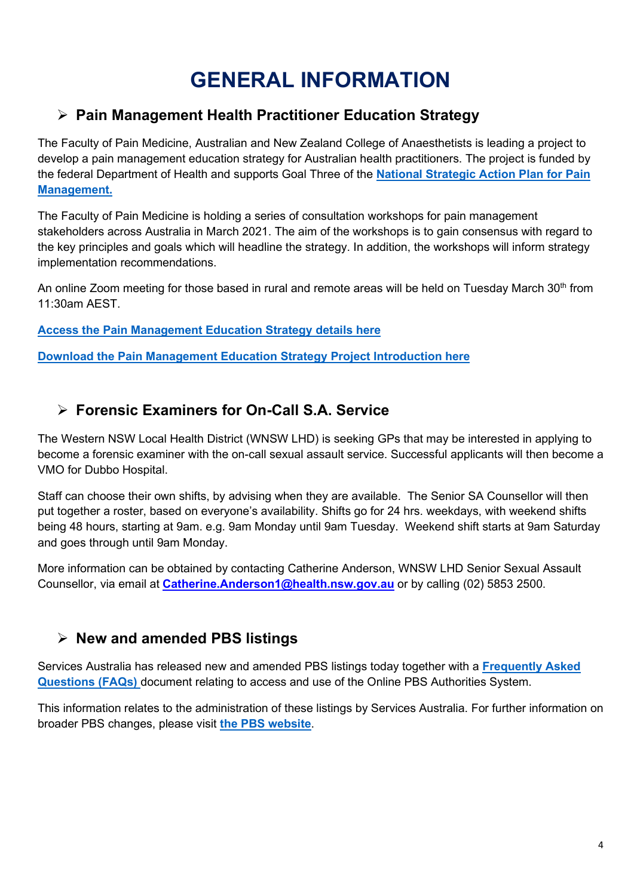## **GENERAL INFORMATION**

#### <span id="page-3-0"></span>**Pain Management Health Practitioner Education Strategy**

The Faculty of Pain Medicine, Australian and New Zealand College of Anaesthetists is leading a project to develop a pain management education strategy for Australian health practitioners. The project is funded by the federal Department of Health and supports Goal Three of the **[National Strategic Action Plan for Pain](https://www.painaustralia.org.au/static/uploads/files/national-action-plan-11-06-2019-wftmzrzushlj.pdf)  [Management.](https://www.painaustralia.org.au/static/uploads/files/national-action-plan-11-06-2019-wftmzrzushlj.pdf)**

The Faculty of Pain Medicine is holding a series of consultation workshops for pain management stakeholders across Australia in March 2021. The aim of the workshops is to gain consensus with regard to the key principles and goals which will headline the strategy. In addition, the workshops will inform strategy implementation recommendations.

An online Zoom meeting for those based in rural and remote areas will be held on Tuesday March  $30<sup>th</sup>$  from 11:30am AEST.

**[Access the Pain Management Education Strategy details here](https://aus01.safelinks.protection.outlook.com/?url=https%3A%2F%2Fprotect-au.mimecast.com%2Fs%2FYaiLC6XQ4LfpQGKXspaV2h%3Fdomain%3Danzca.edu.au&data=04%7C01%7Canthony.thompson%40wnswphn.org.au%7C06ded35cb385419d00a708d8dc511bc6%7C3a417f0a466542e0a2cb686915490e8a%7C0%7C0%7C637501588204505446%7CUnknown%7CTWFpbGZsb3d8eyJWIjoiMC4wLjAwMDAiLCJQIjoiV2luMzIiLCJBTiI6Ik1haWwiLCJXVCI6Mn0%3D%7C1000&sdata=Cg5CTV7e096L4wjxvFOa6SJ9r%2FA4eU9pkQuUYL47gDI%3D&reserved=0)**

**[Download the Pain Management Education Strategy](https://www.wnswphn.org.au/uploads/documents/newsletters/GP%20Resources%20March%202021/0221%20Pain%20management%20health%20practitioner%20education%20strategy%20-%20Project%20introduction.pdf) Project Introduction here**

#### **Forensic Examiners for On-Call S.A. Service**

The Western NSW Local Health District (WNSW LHD) is seeking GPs that may be interested in applying to become a forensic examiner with the on-call sexual assault service. Successful applicants will then become a VMO for Dubbo Hospital.

Staff can choose their own shifts, by advising when they are available. The Senior SA Counsellor will then put together a roster, based on everyone's availability. Shifts go for 24 hrs. weekdays, with weekend shifts being 48 hours, starting at 9am. e.g. 9am Monday until 9am Tuesday. Weekend shift starts at 9am Saturday and goes through until 9am Monday.

More information can be obtained by contacting Catherine Anderson, WNSW LHD Senior Sexual Assault Counsellor, via email at **[Catherine.Anderson1@health.nsw.gov.au](mailto:Catherine.Anderson1@health.nsw.gov.au)** or by calling (02) 5853 2500.

#### **New and amended PBS listings**

Services Australia has released new and amended PBS listings today together with a **[Frequently Asked](https://aus01.safelinks.protection.outlook.com/?url=https%3A%2F%2Faapm.memnet.com.au%2Fmemberselfservice%2FDistributionTracking%2FTrackLinks.aspx%3Fhref%3Dhttps%25253A%25252F%25252Fwww.aapm.org.au%25252FKnowledge-Hub%25252FLatest-News%25252Ffaqs-for-new-and-amended-pbs-listings-from-01-march-2021-faqs%26record%3Dad4dee4b-10a4-46e2-b92f-43a42c7052f5&data=04%7C01%7Canthony.thompson%40wnswphn.org.au%7C40b3221a0ce64dda8be308d8dd2106de%7C3a417f0a466542e0a2cb686915490e8a%7C0%7C0%7C637502481203859849%7CUnknown%7CTWFpbGZsb3d8eyJWIjoiMC4wLjAwMDAiLCJQIjoiV2luMzIiLCJBTiI6Ik1haWwiLCJXVCI6Mn0%3D%7C1000&sdata=CMSGuTRg7Zof89%2F3juaeiLuJ02HcGQ8kj%2BmjMC6HjEs%3D&reserved=0)  [Questions \(FAQs\)](https://aus01.safelinks.protection.outlook.com/?url=https%3A%2F%2Faapm.memnet.com.au%2Fmemberselfservice%2FDistributionTracking%2FTrackLinks.aspx%3Fhref%3Dhttps%25253A%25252F%25252Fwww.aapm.org.au%25252FKnowledge-Hub%25252FLatest-News%25252Ffaqs-for-new-and-amended-pbs-listings-from-01-march-2021-faqs%26record%3Dad4dee4b-10a4-46e2-b92f-43a42c7052f5&data=04%7C01%7Canthony.thompson%40wnswphn.org.au%7C40b3221a0ce64dda8be308d8dd2106de%7C3a417f0a466542e0a2cb686915490e8a%7C0%7C0%7C637502481203859849%7CUnknown%7CTWFpbGZsb3d8eyJWIjoiMC4wLjAwMDAiLCJQIjoiV2luMzIiLCJBTiI6Ik1haWwiLCJXVCI6Mn0%3D%7C1000&sdata=CMSGuTRg7Zof89%2F3juaeiLuJ02HcGQ8kj%2BmjMC6HjEs%3D&reserved=0)** document relating to access and use of the Online PBS Authorities System.

This information relates to the administration of these listings by Services Australia. For further information on broader PBS changes, please visit **[the PBS website](https://aus01.safelinks.protection.outlook.com/?url=https%3A%2F%2Faapm.memnet.com.au%2Fmemberselfservice%2FDistributionTracking%2FTrackLinks.aspx%3Fhref%3Dhttps%25253A%25252F%25252Fwww.pbs.gov.au%25252Fpbs%25252Fhome%26record%3Dad4dee4b-10a4-46e2-b92f-43a42c7052f5&data=04%7C01%7Canthony.thompson%40wnswphn.org.au%7C40b3221a0ce64dda8be308d8dd2106de%7C3a417f0a466542e0a2cb686915490e8a%7C0%7C0%7C637502481203859849%7CUnknown%7CTWFpbGZsb3d8eyJWIjoiMC4wLjAwMDAiLCJQIjoiV2luMzIiLCJBTiI6Ik1haWwiLCJXVCI6Mn0%3D%7C1000&sdata=8vHZtyI5l8VxCZvQS4VAL3YrmyE61x%2F7th0CbwCPg%2FA%3D&reserved=0)**.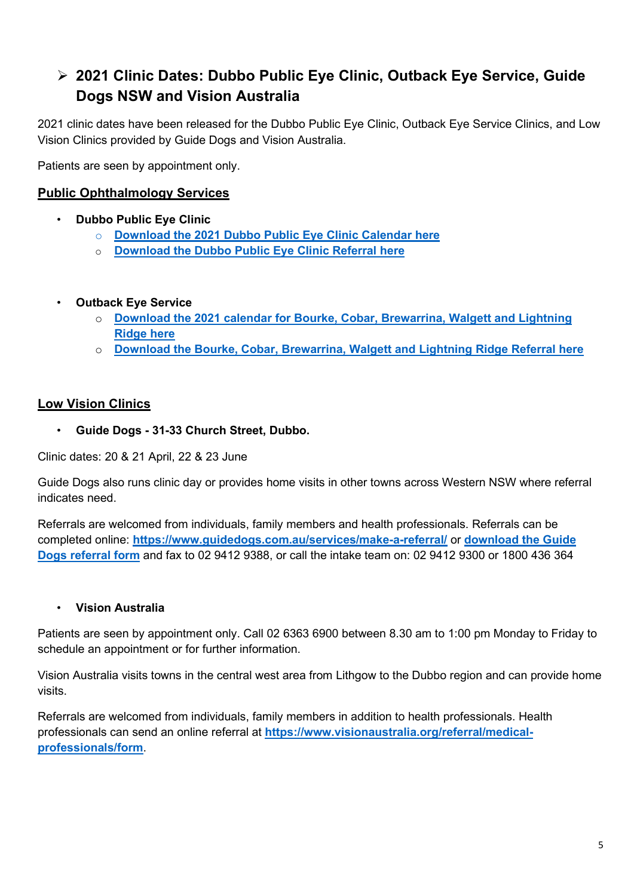### **2021 Clinic Dates: Dubbo Public Eye Clinic, Outback Eye Service, Guide Dogs NSW and Vision Australia**

2021 clinic dates have been released for the Dubbo Public Eye Clinic, Outback Eye Service Clinics, and Low Vision Clinics provided by Guide Dogs and Vision Australia.

Patients are seen by appointment only.

#### **Public Ophthalmology Services**

- **Dubbo Public Eye Clinic**
	- o **[Download the 2021 Dubbo Public Eye Clinic Calendar](https://www.wnswphn.org.au/uploads/documents/newsletters/GP%20Resources%20March%202021/2021%20Dubbo%20Public%20Eye%20Clinic%20Dates.docx) here**
	- o **[Download the Dubbo Public Eye Clinic Referral here](https://www.wnswphn.org.au/uploads/documents/newsletters/GP%20Resources%20March%202021/Dubbo%20Public%20Eye%20Clinic%20Referral.docx)**
- **Outback Eye Service**
	- o **[Download the 2021 calendar for Bourke, Cobar, Brewarrina, Walgett and Lightning](https://www.wnswphn.org.au/uploads/documents/newsletters/GP%20Resources%20March%202021/2021%20OES%20-%20Calendar.pdf)  [Ridge](https://www.wnswphn.org.au/uploads/documents/newsletters/GP%20Resources%20March%202021/2021%20OES%20-%20Calendar.pdf) here**
	- o **[Download the Bourke, Cobar, Brewarrina, Walgett and Lightning Ridge](https://www.wnswphn.org.au/uploads/documents/newsletters/GP%20Resources%20March%202021/OES%20Referral%20Form.pdf) Referral here**

#### **Low Vision Clinics**

• **Guide Dogs - 31-33 Church Street, Dubbo.**

Clinic dates: 20 & 21 April, 22 & 23 June

Guide Dogs also runs clinic day or provides home visits in other towns across Western NSW where referral indicates need.

Referrals are welcomed from individuals, family members and health professionals. Referrals can be completed online: **<https://www.guidedogs.com.au/services/make-a-referral/>** or **[download the](https://www.wnswphn.org.au/uploads/documents/newsletters/GP%20Resources%20March%202021/Guide%20Dogs_Referral%20F.pdf) Guide [Dogs referral form](https://www.wnswphn.org.au/uploads/documents/newsletters/GP%20Resources%20March%202021/Guide%20Dogs_Referral%20F.pdf)** and fax to 02 9412 9388, or call the intake team on: 02 9412 9300 or 1800 436 364

#### • **Vision Australia**

Patients are seen by appointment only. Call 02 6363 6900 between 8.30 am to 1:00 pm Monday to Friday to schedule an appointment or for further information.

Vision Australia visits towns in the central west area from Lithgow to the Dubbo region and can provide home visits.

Referrals are welcomed from individuals, family members in addition to health professionals. Health professionals can send an online referral at **[https://www.visionaustralia.org/referral/medical](https://www.visionaustralia.org/referral/medical-professionals/form)[professionals/form](https://www.visionaustralia.org/referral/medical-professionals/form)**.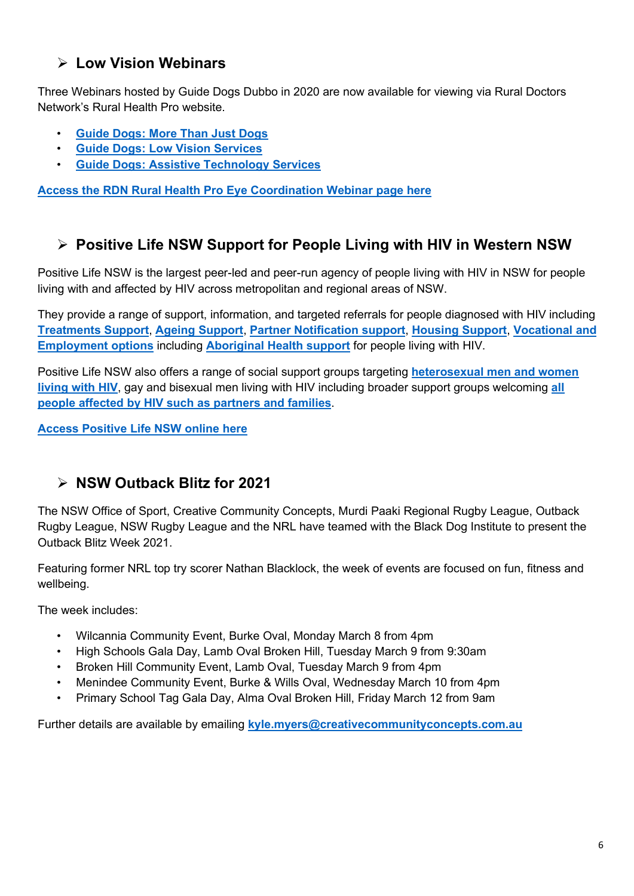#### **Low Vision Webinars**

Three Webinars hosted by Guide Dogs Dubbo in 2020 are now available for viewing via Rural Doctors Network's Rural Health Pro website.

- **[Guide Dogs: More Than Just Dogs](https://community.ruralhealthpro.org/s/on-demand-video/a2J5K0000002IivUAE/guide-dogs-more-than-just-dogs)**
- **[Guide Dogs: Low Vision Services](https://community.ruralhealthpro.org/s/on-demand-video/a2J5K0000002Ij0UAE/guide-dogs-webinar-series-low-vision-services)**
- **[Guide Dogs: Assistive Technology Services](https://community.ruralhealthpro.org/s/on-demand-video/a2J5K0000002Ij5UAE/guide-dogs-webinar-series-assistive-technology-services)**

**[Access the RDN Rural Health Pro Eye Coordination Webinar page here](https://community.ruralhealthpro.org/s/on-demand-collection/a2K5K0000003YzZUAU/eye-health-coordination-program)**

#### **Positive Life NSW Support for People Living with HIV in Western NSW**

Positive Life NSW is the largest peer-led and peer-run agency of people living with HIV in NSW for people living with and affected by HIV across metropolitan and regional areas of NSW.

They provide a range of support, information, and targeted referrals for people diagnosed with HIV including **[Treatments Support](https://aus01.safelinks.protection.outlook.com/?url=https%3A%2F%2Fwww.positivelife.org.au%2Fservices%2Ftreatments-support%2F&data=04%7C01%7Canthony.thompson%40wnswphn.org.au%7Ce7bfa691da5c454ba2d208d8d2c666a3%7C3a417f0a466542e0a2cb686915490e8a%7C0%7C1%7C637491096894957590%7CUnknown%7CTWFpbGZsb3d8eyJWIjoiMC4wLjAwMDAiLCJQIjoiV2luMzIiLCJBTiI6Ik1haWwiLCJXVCI6Mn0%3D%7C1000&sdata=kadLQjxy43eT4ZSbbYJBrotoKDXS03ooFNTU7GsoqQ0%3D&reserved=0)**, **[Ageing Support](https://aus01.safelinks.protection.outlook.com/?url=https%3A%2F%2Fwww.positivelife.org.au%2Fservices%2Fageing-support%2F&data=04%7C01%7Canthony.thompson%40wnswphn.org.au%7Ce7bfa691da5c454ba2d208d8d2c666a3%7C3a417f0a466542e0a2cb686915490e8a%7C0%7C1%7C637491096894967541%7CUnknown%7CTWFpbGZsb3d8eyJWIjoiMC4wLjAwMDAiLCJQIjoiV2luMzIiLCJBTiI6Ik1haWwiLCJXVCI6Mn0%3D%7C1000&sdata=V0EbHwXuBygLUeLtq1WbGafAEGzIKtqrXf7HsOxDn9o%3D&reserved=0)**, **[Partner Notification support](https://aus01.safelinks.protection.outlook.com/?url=https%3A%2F%2Fwww.positivelife.org.au%2Fservices%2Fpartner-notification%2F&data=04%7C01%7Canthony.thompson%40wnswphn.org.au%7Ce7bfa691da5c454ba2d208d8d2c666a3%7C3a417f0a466542e0a2cb686915490e8a%7C0%7C1%7C637491096894967541%7CUnknown%7CTWFpbGZsb3d8eyJWIjoiMC4wLjAwMDAiLCJQIjoiV2luMzIiLCJBTiI6Ik1haWwiLCJXVCI6Mn0%3D%7C1000&sdata=%2FUXiQWYjDXHavMwYU4O6vZM79vBB5b8d19PoiNnBfCM%3D&reserved=0)**, **[Housing Support](https://aus01.safelinks.protection.outlook.com/?url=https%3A%2F%2Fwww.positivelife.org.au%2Fservices%2Fhousing-support%2F&data=04%7C01%7Canthony.thompson%40wnswphn.org.au%7Ce7bfa691da5c454ba2d208d8d2c666a3%7C3a417f0a466542e0a2cb686915490e8a%7C0%7C1%7C637491096894977496%7CUnknown%7CTWFpbGZsb3d8eyJWIjoiMC4wLjAwMDAiLCJQIjoiV2luMzIiLCJBTiI6Ik1haWwiLCJXVCI6Mn0%3D%7C1000&sdata=dGk%2BFGkCcN1vE%2B5wJAV7%2BHMNoZZGL5fpyjCldWmYkYk%3D&reserved=0)**, **[Vocational and](https://aus01.safelinks.protection.outlook.com/?url=https%3A%2F%2Fwww.positivelife.org.au%2Fservices%2Fvocational-support%2F&data=04%7C01%7Canthony.thompson%40wnswphn.org.au%7Ce7bfa691da5c454ba2d208d8d2c666a3%7C3a417f0a466542e0a2cb686915490e8a%7C0%7C1%7C637491096894977496%7CUnknown%7CTWFpbGZsb3d8eyJWIjoiMC4wLjAwMDAiLCJQIjoiV2luMzIiLCJBTiI6Ik1haWwiLCJXVCI6Mn0%3D%7C1000&sdata=yOVM3s8kjA2wsxFNXDgpnt8s4P5NS8V2a9V1YESpChI%3D&reserved=0)  [Employment options](https://aus01.safelinks.protection.outlook.com/?url=https%3A%2F%2Fwww.positivelife.org.au%2Fservices%2Fvocational-support%2F&data=04%7C01%7Canthony.thompson%40wnswphn.org.au%7Ce7bfa691da5c454ba2d208d8d2c666a3%7C3a417f0a466542e0a2cb686915490e8a%7C0%7C1%7C637491096894977496%7CUnknown%7CTWFpbGZsb3d8eyJWIjoiMC4wLjAwMDAiLCJQIjoiV2luMzIiLCJBTiI6Ik1haWwiLCJXVCI6Mn0%3D%7C1000&sdata=yOVM3s8kjA2wsxFNXDgpnt8s4P5NS8V2a9V1YESpChI%3D&reserved=0)** including **[Aboriginal Health support](https://aus01.safelinks.protection.outlook.com/?url=https%3A%2F%2Fwww.positivelife.org.au%2Fservices%2Faboriginal-and-torres-strait-islander-health-program%2F&data=04%7C01%7Canthony.thompson%40wnswphn.org.au%7Ce7bfa691da5c454ba2d208d8d2c666a3%7C3a417f0a466542e0a2cb686915490e8a%7C0%7C1%7C637491096894987443%7CUnknown%7CTWFpbGZsb3d8eyJWIjoiMC4wLjAwMDAiLCJQIjoiV2luMzIiLCJBTiI6Ik1haWwiLCJXVCI6Mn0%3D%7C1000&sdata=w90ftJIOBm9Lr%2Fn5byEbxqq6s%2BR8x8eyYhHIUC5v2Dk%3D&reserved=0)** for people living with HIV.

Positive Life NSW also offers a range of social support groups targeting **[heterosexual men and women](https://aus01.safelinks.protection.outlook.com/?url=https%3A%2F%2Fwww.positivelife.org.au%2Fget-support%2Fsocial-support%2Fthe-social-club%2F&data=04%7C01%7Canthony.thompson%40wnswphn.org.au%7Ce7bfa691da5c454ba2d208d8d2c666a3%7C3a417f0a466542e0a2cb686915490e8a%7C0%7C1%7C637491096894987443%7CUnknown%7CTWFpbGZsb3d8eyJWIjoiMC4wLjAwMDAiLCJQIjoiV2luMzIiLCJBTiI6Ik1haWwiLCJXVCI6Mn0%3D%7C1000&sdata=LF%2BpWC432cB7zvhOTpFPFCZSMqS6tHqXMjCo7ezPA%2FA%3D&reserved=0)  [living with HIV](https://aus01.safelinks.protection.outlook.com/?url=https%3A%2F%2Fwww.positivelife.org.au%2Fget-support%2Fsocial-support%2Fthe-social-club%2F&data=04%7C01%7Canthony.thompson%40wnswphn.org.au%7Ce7bfa691da5c454ba2d208d8d2c666a3%7C3a417f0a466542e0a2cb686915490e8a%7C0%7C1%7C637491096894987443%7CUnknown%7CTWFpbGZsb3d8eyJWIjoiMC4wLjAwMDAiLCJQIjoiV2luMzIiLCJBTiI6Ik1haWwiLCJXVCI6Mn0%3D%7C1000&sdata=LF%2BpWC432cB7zvhOTpFPFCZSMqS6tHqXMjCo7ezPA%2FA%3D&reserved=0)**, gay and bisexual men living with HIV including broader support groups welcoming **[all](https://aus01.safelinks.protection.outlook.com/?url=https%3A%2F%2Fwww.positivelife.org.au%2Fget-support%2Fsocial-support%2Fplus-connect%2F&data=04%7C01%7Canthony.thompson%40wnswphn.org.au%7Ce7bfa691da5c454ba2d208d8d2c666a3%7C3a417f0a466542e0a2cb686915490e8a%7C0%7C1%7C637491096894997401%7CUnknown%7CTWFpbGZsb3d8eyJWIjoiMC4wLjAwMDAiLCJQIjoiV2luMzIiLCJBTiI6Ik1haWwiLCJXVCI6Mn0%3D%7C1000&sdata=0Ro6vIgnskN%2FRi8XK%2B5mBbjNtHbdC6clzvZP2I7aU%2FI%3D&reserved=0)  [people affected by HIV such as partners and families](https://aus01.safelinks.protection.outlook.com/?url=https%3A%2F%2Fwww.positivelife.org.au%2Fget-support%2Fsocial-support%2Fplus-connect%2F&data=04%7C01%7Canthony.thompson%40wnswphn.org.au%7Ce7bfa691da5c454ba2d208d8d2c666a3%7C3a417f0a466542e0a2cb686915490e8a%7C0%7C1%7C637491096894997401%7CUnknown%7CTWFpbGZsb3d8eyJWIjoiMC4wLjAwMDAiLCJQIjoiV2luMzIiLCJBTiI6Ik1haWwiLCJXVCI6Mn0%3D%7C1000&sdata=0Ro6vIgnskN%2FRi8XK%2B5mBbjNtHbdC6clzvZP2I7aU%2FI%3D&reserved=0)**.

**[Access Positive Life NSW online here](https://www.positivelife.org.au/)**

#### **NSW Outback Blitz for 2021**

The NSW Office of Sport, Creative Community Concepts, Murdi Paaki Regional Rugby League, Outback Rugby League, NSW Rugby League and the NRL have teamed with the Black Dog Institute to present the Outback Blitz Week 2021.

Featuring former NRL top try scorer Nathan Blacklock, the week of events are focused on fun, fitness and wellbeing.

The week includes:

- Wilcannia Community Event, Burke Oval, Monday March 8 from 4pm
- High Schools Gala Day, Lamb Oval Broken Hill, Tuesday March 9 from 9:30am
- Broken Hill Community Event, Lamb Oval, Tuesday March 9 from 4pm
- Menindee Community Event, Burke & Wills Oval, Wednesday March 10 from 4pm
- Primary School Tag Gala Day, Alma Oval Broken Hill, Friday March 12 from 9am

Further details are available by emailing **[kyle.myers@creativecommunityconcepts.com.au](mailto:kyle.myers@creativecommunityconcepts.com.au)**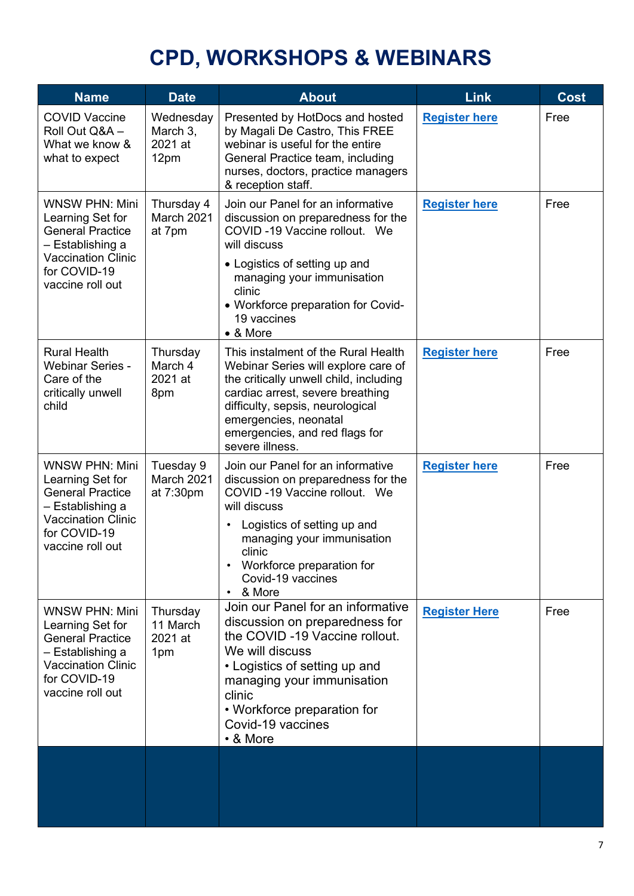# **CPD, WORKSHOPS & WEBINARS**

<span id="page-6-0"></span>

| <b>Name</b>                                                                                                                                               | <b>Date</b>                              | <b>About</b>                                                                                                                                                                                                                                                                              | Link                 | <b>Cost</b> |
|-----------------------------------------------------------------------------------------------------------------------------------------------------------|------------------------------------------|-------------------------------------------------------------------------------------------------------------------------------------------------------------------------------------------------------------------------------------------------------------------------------------------|----------------------|-------------|
| <b>COVID Vaccine</b><br>Roll Out Q&A -<br>What we know &<br>what to expect                                                                                | Wednesday<br>March 3,<br>2021 at<br>12pm | Presented by HotDocs and hosted<br>by Magali De Castro, This FREE<br>webinar is useful for the entire<br>General Practice team, including<br>nurses, doctors, practice managers<br>& reception staff.                                                                                     | <b>Register here</b> | Free        |
| <b>WNSW PHN: Mini</b><br>Learning Set for<br><b>General Practice</b><br>– Establishing a<br><b>Vaccination Clinic</b><br>for COVID-19<br>vaccine roll out | Thursday 4<br>March 2021<br>at 7pm       | Join our Panel for an informative<br>discussion on preparedness for the<br>COVID-19 Vaccine rollout. We<br>will discuss<br>• Logistics of setting up and<br>managing your immunisation<br>clinic<br>• Workforce preparation for Covid-<br>19 vaccines<br>• & More                         | <b>Register here</b> | Free        |
| <b>Rural Health</b><br><b>Webinar Series -</b><br>Care of the<br>critically unwell<br>child                                                               | Thursday<br>March 4<br>2021 at<br>8pm    | This instalment of the Rural Health<br>Webinar Series will explore care of<br>the critically unwell child, including<br>cardiac arrest, severe breathing<br>difficulty, sepsis, neurological<br>emergencies, neonatal<br>emergencies, and red flags for<br>severe illness.                | <b>Register here</b> | Free        |
| <b>WNSW PHN: Mini</b><br>Learning Set for<br><b>General Practice</b><br>- Establishing a<br><b>Vaccination Clinic</b><br>for COVID-19<br>vaccine roll out | Tuesday 9<br>March 2021<br>at 7:30pm     | Join our Panel for an informative<br>discussion on preparedness for the<br>COVID-19 Vaccine rollout. We<br>will discuss<br>Logistics of setting up and<br>٠<br>managing your immunisation<br>clinic<br>Workforce preparation for<br>$\bullet$<br>Covid-19 vaccines<br>& More<br>$\bullet$ | <b>Register here</b> | Free        |
| <b>WNSW PHN: Mini</b><br>Learning Set for<br><b>General Practice</b><br>- Establishing a<br><b>Vaccination Clinic</b><br>for COVID-19<br>vaccine roll out | Thursday<br>11 March<br>2021 at<br>1pm   | Join our Panel for an informative<br>discussion on preparedness for<br>the COVID-19 Vaccine rollout.<br>We will discuss<br>• Logistics of setting up and<br>managing your immunisation<br>clinic<br>• Workforce preparation for<br>Covid-19 vaccines<br>• & More                          | <b>Register Here</b> | Free        |
|                                                                                                                                                           |                                          |                                                                                                                                                                                                                                                                                           |                      |             |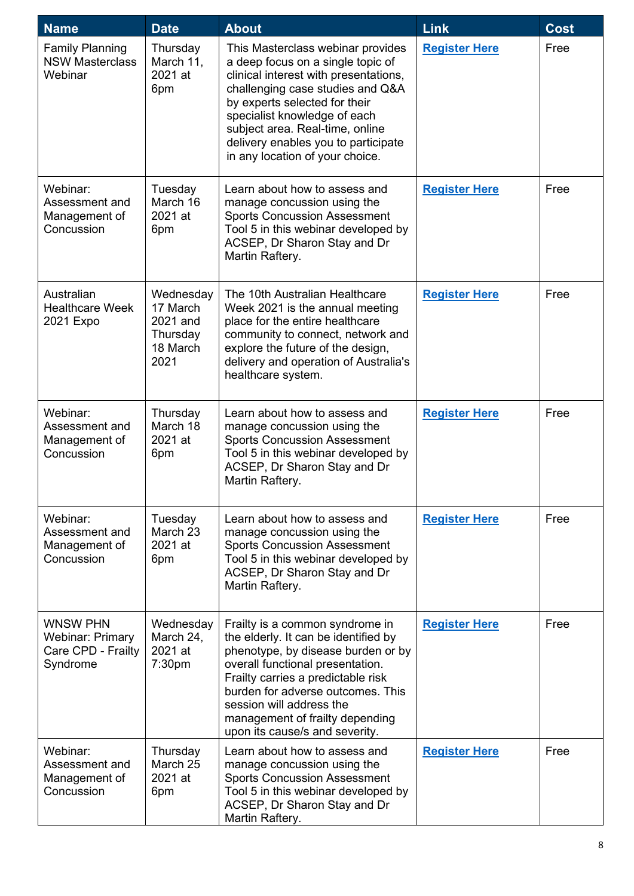| <b>Name</b>                                                                  | <b>Date</b>                                                       | <b>About</b>                                                                                                                                                                                                                                                                                                                      | <b>Link</b>          | <b>Cost</b> |
|------------------------------------------------------------------------------|-------------------------------------------------------------------|-----------------------------------------------------------------------------------------------------------------------------------------------------------------------------------------------------------------------------------------------------------------------------------------------------------------------------------|----------------------|-------------|
| <b>Family Planning</b><br><b>NSW Masterclass</b><br>Webinar                  | Thursday<br>March 11,<br>2021 at<br>6pm                           | This Masterclass webinar provides<br>a deep focus on a single topic of<br>clinical interest with presentations,<br>challenging case studies and Q&A<br>by experts selected for their<br>specialist knowledge of each<br>subject area. Real-time, online<br>delivery enables you to participate<br>in any location of your choice. | <b>Register Here</b> | Free        |
| Webinar:<br>Assessment and<br>Management of<br>Concussion                    | Tuesday<br>March 16<br>2021 at<br>6pm                             | Learn about how to assess and<br>manage concussion using the<br><b>Sports Concussion Assessment</b><br>Tool 5 in this webinar developed by<br>ACSEP, Dr Sharon Stay and Dr<br>Martin Raftery.                                                                                                                                     | <b>Register Here</b> | Free        |
| Australian<br><b>Healthcare Week</b><br>2021 Expo                            | Wednesday<br>17 March<br>2021 and<br>Thursday<br>18 March<br>2021 | The 10th Australian Healthcare<br>Week 2021 is the annual meeting<br>place for the entire healthcare<br>community to connect, network and<br>explore the future of the design,<br>delivery and operation of Australia's<br>healthcare system.                                                                                     | <b>Register Here</b> | Free        |
| Webinar:<br>Assessment and<br>Management of<br>Concussion                    | Thursday<br>March 18<br>2021 at<br>6pm                            | Learn about how to assess and<br>manage concussion using the<br><b>Sports Concussion Assessment</b><br>Tool 5 in this webinar developed by<br>ACSEP, Dr Sharon Stay and Dr<br>Martin Raftery.                                                                                                                                     | <b>Register Here</b> | Free        |
| Webinar:<br>Assessment and<br>Management of<br>Concussion                    | Tuesday<br>March 23<br>2021 at<br>6pm                             | Learn about how to assess and<br>manage concussion using the<br><b>Sports Concussion Assessment</b><br>Tool 5 in this webinar developed by<br>ACSEP, Dr Sharon Stay and Dr<br>Martin Raftery.                                                                                                                                     | <b>Register Here</b> | Free        |
| <b>WNSW PHN</b><br><b>Webinar: Primary</b><br>Care CPD - Frailty<br>Syndrome | Wednesday<br>March 24,<br>2021 at<br>7:30pm                       | Frailty is a common syndrome in<br>the elderly. It can be identified by<br>phenotype, by disease burden or by<br>overall functional presentation.<br>Frailty carries a predictable risk<br>burden for adverse outcomes. This<br>session will address the<br>management of frailty depending<br>upon its cause/s and severity.     | <b>Register Here</b> | Free        |
| Webinar:<br>Assessment and<br>Management of<br>Concussion                    | Thursday<br>March 25<br>2021 at<br>6pm                            | Learn about how to assess and<br>manage concussion using the<br><b>Sports Concussion Assessment</b><br>Tool 5 in this webinar developed by<br>ACSEP, Dr Sharon Stay and Dr<br>Martin Raftery.                                                                                                                                     | <b>Register Here</b> | Free        |